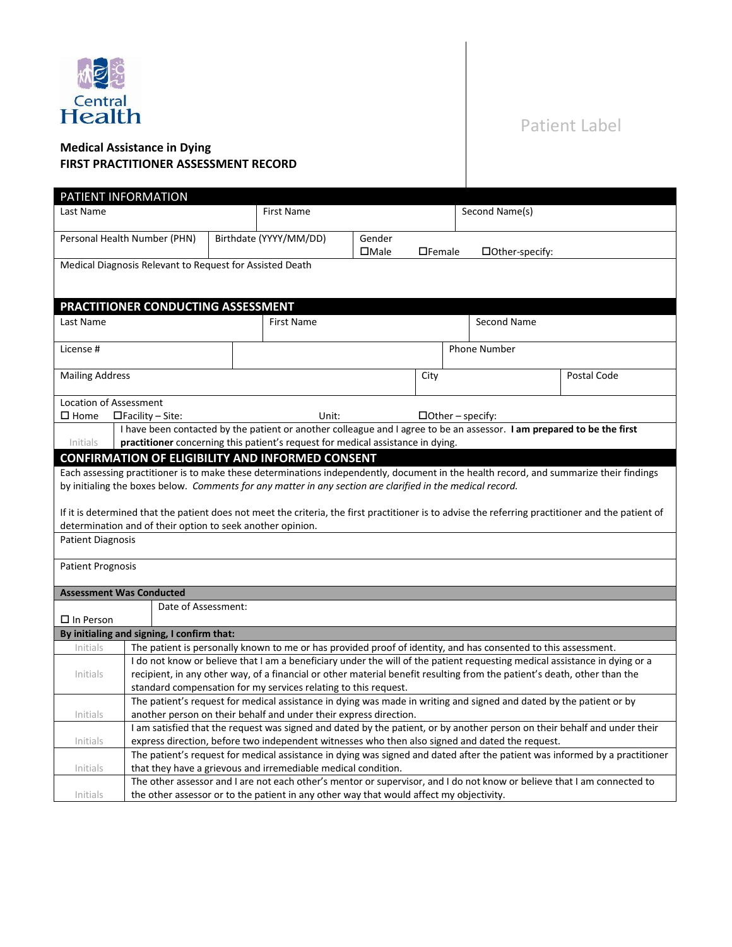

# Patient Label

## **Medical Assistance in Dying FIRST PRACTITIONER ASSESSMENT RECORD**

|                                                                                                                                                                                                                                                                                                                                                                                                                                                                                                      | PATIENT INFORMATION                                                                                                                                                                                                                                                                                                       |                                                                                                                                                                                              |                                                                                                                |        |                     |                         |  |             |
|------------------------------------------------------------------------------------------------------------------------------------------------------------------------------------------------------------------------------------------------------------------------------------------------------------------------------------------------------------------------------------------------------------------------------------------------------------------------------------------------------|---------------------------------------------------------------------------------------------------------------------------------------------------------------------------------------------------------------------------------------------------------------------------------------------------------------------------|----------------------------------------------------------------------------------------------------------------------------------------------------------------------------------------------|----------------------------------------------------------------------------------------------------------------|--------|---------------------|-------------------------|--|-------------|
| Last Name                                                                                                                                                                                                                                                                                                                                                                                                                                                                                            |                                                                                                                                                                                                                                                                                                                           |                                                                                                                                                                                              | <b>First Name</b>                                                                                              |        |                     | Second Name(s)          |  |             |
|                                                                                                                                                                                                                                                                                                                                                                                                                                                                                                      | Personal Health Number (PHN)                                                                                                                                                                                                                                                                                              |                                                                                                                                                                                              | Birthdate (YYYY/MM/DD)                                                                                         | Gender |                     |                         |  |             |
|                                                                                                                                                                                                                                                                                                                                                                                                                                                                                                      | $\square$ Male<br>$\Box$ Female<br>$\Box$ Other-specify:<br>Medical Diagnosis Relevant to Request for Assisted Death                                                                                                                                                                                                      |                                                                                                                                                                                              |                                                                                                                |        |                     |                         |  |             |
|                                                                                                                                                                                                                                                                                                                                                                                                                                                                                                      |                                                                                                                                                                                                                                                                                                                           |                                                                                                                                                                                              |                                                                                                                |        |                     |                         |  |             |
| PRACTITIONER CONDUCTING ASSESSMENT                                                                                                                                                                                                                                                                                                                                                                                                                                                                   |                                                                                                                                                                                                                                                                                                                           |                                                                                                                                                                                              |                                                                                                                |        |                     |                         |  |             |
| Last Name                                                                                                                                                                                                                                                                                                                                                                                                                                                                                            |                                                                                                                                                                                                                                                                                                                           |                                                                                                                                                                                              | <b>First Name</b>                                                                                              |        |                     | Second Name             |  |             |
| License #                                                                                                                                                                                                                                                                                                                                                                                                                                                                                            |                                                                                                                                                                                                                                                                                                                           |                                                                                                                                                                                              |                                                                                                                |        | <b>Phone Number</b> |                         |  |             |
| <b>Mailing Address</b>                                                                                                                                                                                                                                                                                                                                                                                                                                                                               |                                                                                                                                                                                                                                                                                                                           |                                                                                                                                                                                              |                                                                                                                |        | City                |                         |  | Postal Code |
| Location of Assessment                                                                                                                                                                                                                                                                                                                                                                                                                                                                               |                                                                                                                                                                                                                                                                                                                           |                                                                                                                                                                                              |                                                                                                                |        |                     |                         |  |             |
| $\square$ Home                                                                                                                                                                                                                                                                                                                                                                                                                                                                                       | $\Box$ Facility – Site:                                                                                                                                                                                                                                                                                                   |                                                                                                                                                                                              | Unit:                                                                                                          |        |                     | $\Box$ Other – specify: |  |             |
| Initials                                                                                                                                                                                                                                                                                                                                                                                                                                                                                             | I have been contacted by the patient or another colleague and I agree to be an assessor. I am prepared to be the first<br>practitioner concerning this patient's request for medical assistance in dying.                                                                                                                 |                                                                                                                                                                                              |                                                                                                                |        |                     |                         |  |             |
|                                                                                                                                                                                                                                                                                                                                                                                                                                                                                                      |                                                                                                                                                                                                                                                                                                                           |                                                                                                                                                                                              | <b>CONFIRMATION OF ELIGIBILITY AND INFORMED CONSENT</b>                                                        |        |                     |                         |  |             |
| Each assessing practitioner is to make these determinations independently, document in the health record, and summarize their findings<br>by initialing the boxes below. Comments for any matter in any section are clarified in the medical record.<br>If it is determined that the patient does not meet the criteria, the first practitioner is to advise the referring practitioner and the patient of<br>determination and of their option to seek another opinion.<br><b>Patient Diagnosis</b> |                                                                                                                                                                                                                                                                                                                           |                                                                                                                                                                                              |                                                                                                                |        |                     |                         |  |             |
| <b>Patient Prognosis</b>                                                                                                                                                                                                                                                                                                                                                                                                                                                                             |                                                                                                                                                                                                                                                                                                                           |                                                                                                                                                                                              |                                                                                                                |        |                     |                         |  |             |
| <b>Assessment Was Conducted</b>                                                                                                                                                                                                                                                                                                                                                                                                                                                                      |                                                                                                                                                                                                                                                                                                                           |                                                                                                                                                                                              |                                                                                                                |        |                     |                         |  |             |
| Date of Assessment:<br>$\Box$ In Person                                                                                                                                                                                                                                                                                                                                                                                                                                                              |                                                                                                                                                                                                                                                                                                                           |                                                                                                                                                                                              |                                                                                                                |        |                     |                         |  |             |
| By initialing and signing, I confirm that:                                                                                                                                                                                                                                                                                                                                                                                                                                                           |                                                                                                                                                                                                                                                                                                                           |                                                                                                                                                                                              |                                                                                                                |        |                     |                         |  |             |
| Initials                                                                                                                                                                                                                                                                                                                                                                                                                                                                                             |                                                                                                                                                                                                                                                                                                                           |                                                                                                                                                                                              | The patient is personally known to me or has provided proof of identity, and has consented to this assessment. |        |                     |                         |  |             |
| Initials                                                                                                                                                                                                                                                                                                                                                                                                                                                                                             | I do not know or believe that I am a beneficiary under the will of the patient requesting medical assistance in dying or a<br>recipient, in any other way, of a financial or other material benefit resulting from the patient's death, other than the<br>standard compensation for my services relating to this request. |                                                                                                                                                                                              |                                                                                                                |        |                     |                         |  |             |
|                                                                                                                                                                                                                                                                                                                                                                                                                                                                                                      | The patient's request for medical assistance in dying was made in writing and signed and dated by the patient or by                                                                                                                                                                                                       |                                                                                                                                                                                              |                                                                                                                |        |                     |                         |  |             |
| Initials                                                                                                                                                                                                                                                                                                                                                                                                                                                                                             | another person on their behalf and under their express direction.<br>I am satisfied that the request was signed and dated by the patient, or by another person on their behalf and under their                                                                                                                            |                                                                                                                                                                                              |                                                                                                                |        |                     |                         |  |             |
| Initials                                                                                                                                                                                                                                                                                                                                                                                                                                                                                             | express direction, before two independent witnesses who then also signed and dated the request.                                                                                                                                                                                                                           |                                                                                                                                                                                              |                                                                                                                |        |                     |                         |  |             |
| Initials                                                                                                                                                                                                                                                                                                                                                                                                                                                                                             |                                                                                                                                                                                                                                                                                                                           | The patient's request for medical assistance in dying was signed and dated after the patient was informed by a practitioner<br>that they have a grievous and irremediable medical condition. |                                                                                                                |        |                     |                         |  |             |
|                                                                                                                                                                                                                                                                                                                                                                                                                                                                                                      | The other assessor and I are not each other's mentor or supervisor, and I do not know or believe that I am connected to                                                                                                                                                                                                   |                                                                                                                                                                                              |                                                                                                                |        |                     |                         |  |             |
| Initials                                                                                                                                                                                                                                                                                                                                                                                                                                                                                             |                                                                                                                                                                                                                                                                                                                           |                                                                                                                                                                                              | the other assessor or to the patient in any other way that would affect my objectivity.                        |        |                     |                         |  |             |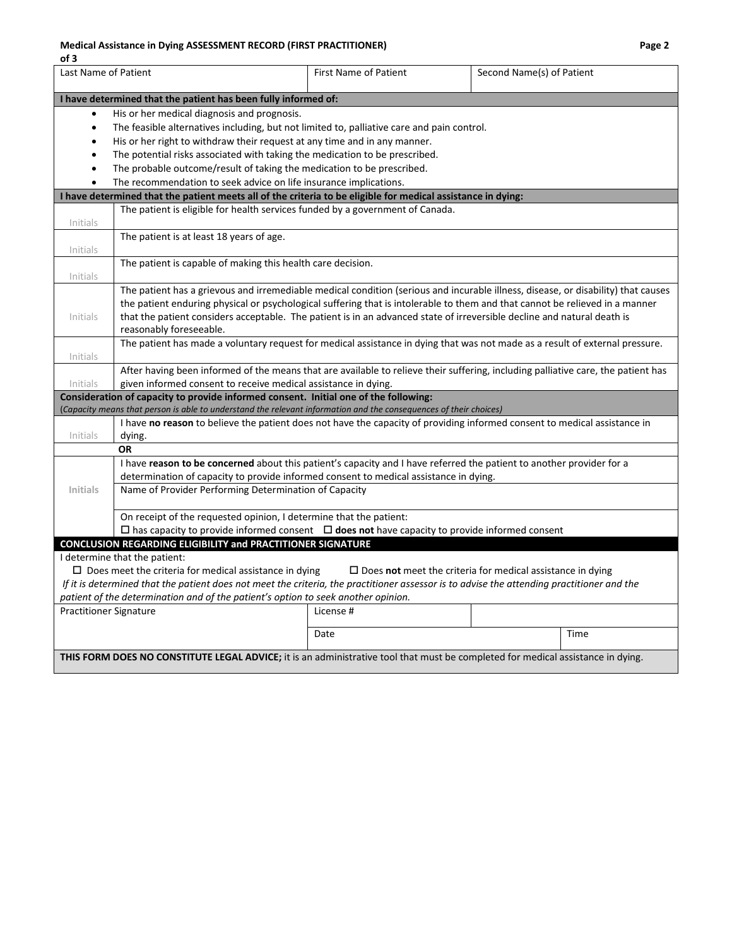#### **Medical Assistance in Dying ASSESSMENT RECORD (FIRST PRACTITIONER) Page 2**

| of 3                                                                                                                               |                                                                                                                                            |                              |                                                                                                                                   |  |  |  |
|------------------------------------------------------------------------------------------------------------------------------------|--------------------------------------------------------------------------------------------------------------------------------------------|------------------------------|-----------------------------------------------------------------------------------------------------------------------------------|--|--|--|
| Last Name of Patient                                                                                                               |                                                                                                                                            | <b>First Name of Patient</b> | Second Name(s) of Patient                                                                                                         |  |  |  |
| I have determined that the patient has been fully informed of:                                                                     |                                                                                                                                            |                              |                                                                                                                                   |  |  |  |
| $\bullet$                                                                                                                          | His or her medical diagnosis and prognosis.                                                                                                |                              |                                                                                                                                   |  |  |  |
| $\bullet$                                                                                                                          | The feasible alternatives including, but not limited to, palliative care and pain control.                                                 |                              |                                                                                                                                   |  |  |  |
| $\bullet$                                                                                                                          | His or her right to withdraw their request at any time and in any manner.                                                                  |                              |                                                                                                                                   |  |  |  |
| $\bullet$                                                                                                                          | The potential risks associated with taking the medication to be prescribed.                                                                |                              |                                                                                                                                   |  |  |  |
| $\bullet$                                                                                                                          | The probable outcome/result of taking the medication to be prescribed.                                                                     |                              |                                                                                                                                   |  |  |  |
| $\bullet$                                                                                                                          | The recommendation to seek advice on life insurance implications.                                                                          |                              |                                                                                                                                   |  |  |  |
|                                                                                                                                    | I have determined that the patient meets all of the criteria to be eligible for medical assistance in dying:                               |                              |                                                                                                                                   |  |  |  |
| Initials                                                                                                                           | The patient is eligible for health services funded by a government of Canada.                                                              |                              |                                                                                                                                   |  |  |  |
|                                                                                                                                    | The patient is at least 18 years of age.                                                                                                   |                              |                                                                                                                                   |  |  |  |
| Initials                                                                                                                           |                                                                                                                                            |                              |                                                                                                                                   |  |  |  |
|                                                                                                                                    | The patient is capable of making this health care decision.                                                                                |                              |                                                                                                                                   |  |  |  |
| Initials                                                                                                                           |                                                                                                                                            |                              |                                                                                                                                   |  |  |  |
|                                                                                                                                    |                                                                                                                                            |                              | The patient has a grievous and irremediable medical condition (serious and incurable illness, disease, or disability) that causes |  |  |  |
|                                                                                                                                    |                                                                                                                                            |                              | the patient enduring physical or psychological suffering that is intolerable to them and that cannot be relieved in a manner      |  |  |  |
| Initials                                                                                                                           | that the patient considers acceptable. The patient is in an advanced state of irreversible decline and natural death is                    |                              |                                                                                                                                   |  |  |  |
|                                                                                                                                    | reasonably foreseeable.                                                                                                                    |                              |                                                                                                                                   |  |  |  |
| Initials                                                                                                                           |                                                                                                                                            |                              | The patient has made a voluntary request for medical assistance in dying that was not made as a result of external pressure.      |  |  |  |
|                                                                                                                                    |                                                                                                                                            |                              | After having been informed of the means that are available to relieve their suffering, including palliative care, the patient has |  |  |  |
| Initials                                                                                                                           | given informed consent to receive medical assistance in dying.                                                                             |                              |                                                                                                                                   |  |  |  |
|                                                                                                                                    | Consideration of capacity to provide informed consent. Initial one of the following:                                                       |                              |                                                                                                                                   |  |  |  |
|                                                                                                                                    | (Capacity means that person is able to understand the relevant information and the consequences of their choices)                          |                              |                                                                                                                                   |  |  |  |
|                                                                                                                                    |                                                                                                                                            |                              | I have no reason to believe the patient does not have the capacity of providing informed consent to medical assistance in         |  |  |  |
| Initials                                                                                                                           | dying.                                                                                                                                     |                              |                                                                                                                                   |  |  |  |
|                                                                                                                                    | ΟR                                                                                                                                         |                              |                                                                                                                                   |  |  |  |
|                                                                                                                                    | I have reason to be concerned about this patient's capacity and I have referred the patient to another provider for a                      |                              |                                                                                                                                   |  |  |  |
|                                                                                                                                    | determination of capacity to provide informed consent to medical assistance in dying.                                                      |                              |                                                                                                                                   |  |  |  |
| <b>Initials</b>                                                                                                                    | Name of Provider Performing Determination of Capacity                                                                                      |                              |                                                                                                                                   |  |  |  |
|                                                                                                                                    | On receipt of the requested opinion, I determine that the patient:                                                                         |                              |                                                                                                                                   |  |  |  |
|                                                                                                                                    | $\Box$ has capacity to provide informed consent $\Box$ does not have capacity to provide informed consent                                  |                              |                                                                                                                                   |  |  |  |
|                                                                                                                                    | <b>CONCLUSION REGARDING ELIGIBILITY and PRACTITIONER SIGNATURE</b>                                                                         |                              |                                                                                                                                   |  |  |  |
|                                                                                                                                    | I determine that the patient:                                                                                                              |                              |                                                                                                                                   |  |  |  |
| $\Box$ Does meet the criteria for medical assistance in dying<br>$\Box$ Does not meet the criteria for medical assistance in dying |                                                                                                                                            |                              |                                                                                                                                   |  |  |  |
|                                                                                                                                    | If it is determined that the patient does not meet the criteria, the practitioner assessor is to advise the attending practitioner and the |                              |                                                                                                                                   |  |  |  |
|                                                                                                                                    | patient of the determination and of the patient's option to seek another opinion.                                                          |                              |                                                                                                                                   |  |  |  |
| <b>Practitioner Signature</b>                                                                                                      |                                                                                                                                            | License #                    |                                                                                                                                   |  |  |  |
|                                                                                                                                    |                                                                                                                                            | Date                         | Time                                                                                                                              |  |  |  |
|                                                                                                                                    | THIS FORM DOES NO CONSTITUTE LEGAL ADVICE; it is an administrative tool that must be completed for medical assistance in dying.            |                              |                                                                                                                                   |  |  |  |